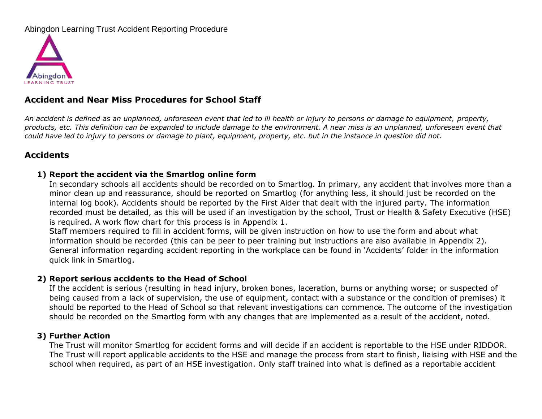# Abingdon Learning Trust Accident Reporting Procedure



# **Accident and Near Miss Procedures for School Staff**

*An accident is defined as an unplanned, unforeseen event that led to ill health or injury to persons or damage to equipment, property, products, etc. This definition can be expanded to include damage to the environment. A near miss is an unplanned, unforeseen event that could have led to injury to persons or damage to plant, equipment, property, etc. but in the instance in question did not.*

## **Accidents**

#### **1) Report the accident via the Smartlog online form**

In secondary schools all accidents should be recorded on to Smartlog. In primary, any accident that involves more than a minor clean up and reassurance, should be reported on Smartlog (for anything less, it should just be recorded on the internal log book). Accidents should be reported by the First Aider that dealt with the injured party. The information recorded must be detailed, as this will be used if an investigation by the school, Trust or Health & Safety Executive (HSE) is required. A work flow chart for this process is in Appendix 1.

Staff members required to fill in accident forms, will be given instruction on how to use the form and about what information should be recorded (this can be peer to peer training but instructions are also available in Appendix 2). General information regarding accident reporting in the workplace can be found in 'Accidents' folder in the information quick link in Smartlog.

#### **2) Report serious accidents to the Head of School**

If the accident is serious (resulting in head injury, broken bones, laceration, burns or anything worse; or suspected of being caused from a lack of supervision, the use of equipment, contact with a substance or the condition of premises) it should be reported to the Head of School so that relevant investigations can commence. The outcome of the investigation should be recorded on the Smartlog form with any changes that are implemented as a result of the accident, noted.

#### **3) Further Action**

The Trust will monitor Smartlog for accident forms and will decide if an accident is reportable to the HSE under RIDDOR. The Trust will report applicable accidents to the HSE and manage the process from start to finish, liaising with HSE and the school when required, as part of an HSE investigation. Only staff trained into what is defined as a reportable accident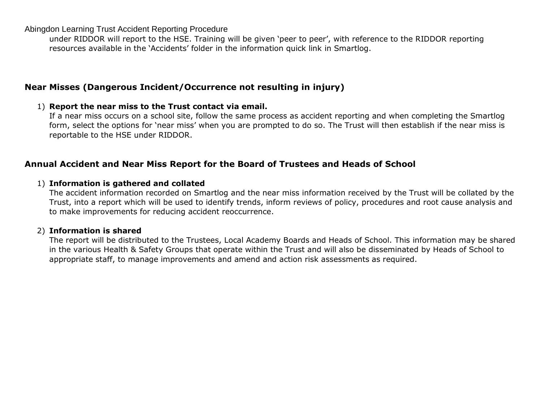Abingdon Learning Trust Accident Reporting Procedure

under RIDDOR will report to the HSE. Training will be given 'peer to peer', with reference to the RIDDOR reporting resources available in the 'Accidents' folder in the information quick link in Smartlog.

# **Near Misses (Dangerous Incident/Occurrence not resulting in injury)**

### 1) **Report the near miss to the Trust contact via email.**

If a near miss occurs on a school site, follow the same process as accident reporting and when completing the Smartlog form, select the options for 'near miss' when you are prompted to do so. The Trust will then establish if the near miss is reportable to the HSE under RIDDOR.

# **Annual Accident and Near Miss Report for the Board of Trustees and Heads of School**

### 1) **Information is gathered and collated**

The accident information recorded on Smartlog and the near miss information received by the Trust will be collated by the Trust, into a report which will be used to identify trends, inform reviews of policy, procedures and root cause analysis and to make improvements for reducing accident reoccurrence.

### 2) **Information is shared**

The report will be distributed to the Trustees, Local Academy Boards and Heads of School. This information may be shared in the various Health & Safety Groups that operate within the Trust and will also be disseminated by Heads of School to appropriate staff, to manage improvements and amend and action risk assessments as required.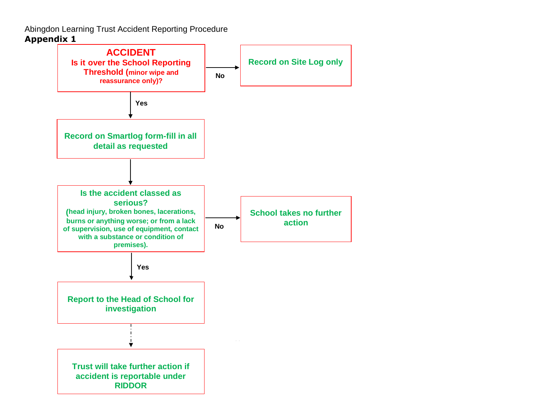Abingdon Learning Trust Accident Reporting Procedure **Appendix 1**